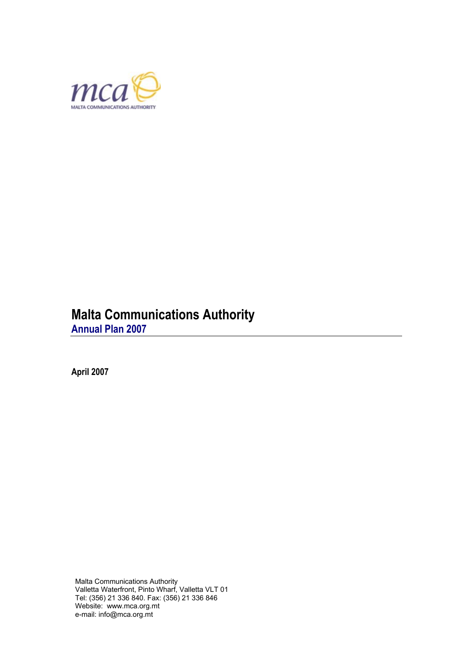

# **Malta Communications Authority**

**Annual Plan 2007** 

**April 2007** 

Malta Communications Authority Valletta Waterfront, Pinto Wharf, Valletta VLT 01 Tel: (356) 21 336 840. Fax: (356) 21 336 846 Website: www.mca.org.mt e-mail: info@mca.org.mt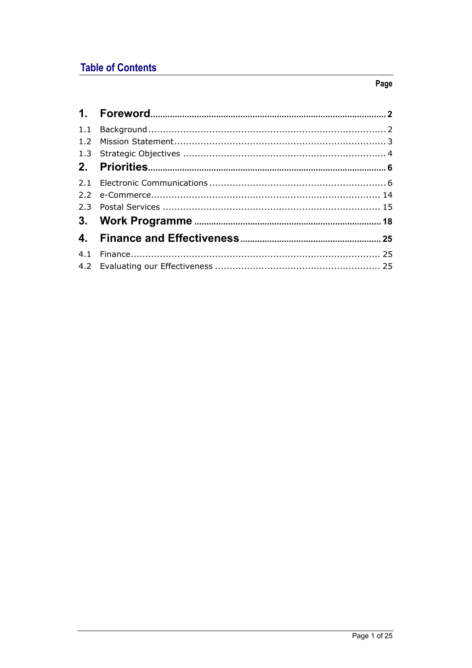# **Table of Contents**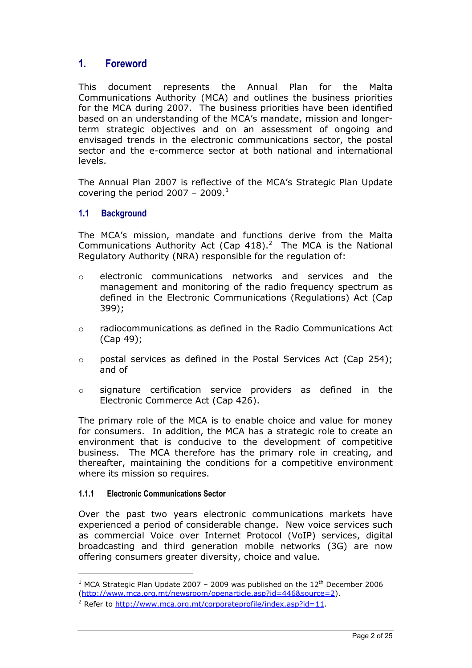# <span id="page-2-0"></span>**1. Foreword**

This document represents the Annual Plan for the Malta Communications Authority (MCA) and outlines the business priorities for the MCA during 2007. The business priorities have been identified based on an understanding of the MCA's mandate, mission and longerterm strategic objectives and on an assessment of ongoing and envisaged trends in the electronic communications sector, the postal sector and the e-commerce sector at both national and international levels.

The Annual Plan 2007 is reflective of the MCA's Strategic Plan Update covering the period 2007 - 2009. $^1$  $^1$ 

## **1.1 Background**

The MCA's mission, mandate and functions derive from the Malta Communications Authority Act (Cap  $418$ ).<sup>[2](#page-2-2)</sup> The MCA is the National Regulatory Authority (NRA) responsible for the regulation of:

- o electronic communications networks and services and the management and monitoring of the radio frequency spectrum as defined in the Electronic Communications (Regulations) Act (Cap 399);
- o radiocommunications as defined in the Radio Communications Act (Cap 49);
- o postal services as defined in the Postal Services Act (Cap 254); and of
- o signature certification service providers as defined in the Electronic Commerce Act (Cap 426).

The primary role of the MCA is to enable choice and value for money for consumers. In addition, the MCA has a strategic role to create an environment that is conducive to the development of competitive business. The MCA therefore has the primary role in creating, and thereafter, maintaining the conditions for a competitive environment where its mission so requires.

#### **1.1.1 Electronic Communications Sector**

 $\overline{a}$ 

Over the past two years electronic communications markets have experienced a period of considerable change. New voice services such as commercial Voice over Internet Protocol (VoIP) services, digital broadcasting and third generation mobile networks (3G) are now offering consumers greater diversity, choice and value.

<span id="page-2-1"></span><sup>&</sup>lt;sup>1</sup> MCA Strategic Plan Update 2007 - 2009 was published on the  $12<sup>th</sup>$  December 2006 [\(http://www.mca.org.mt/newsroom/openarticle.asp?id=446&source=2](http://www.mca.org.mt/newsroom/openarticle.asp?id=446&source=2)).

<span id="page-2-2"></span><sup>&</sup>lt;sup>2</sup> Refer to [http://www.mca.org.mt/corporateprofile/index.asp?id=11.](http://www.mca.org.mt/corporateprofile/index.asp?id=11)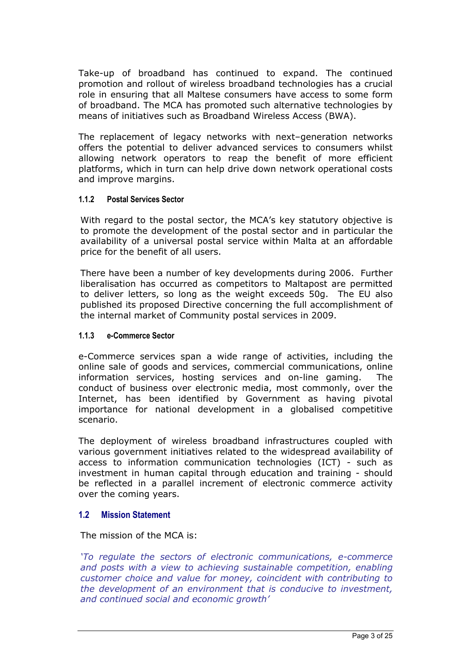<span id="page-3-0"></span>Take-up of broadband has continued to expand. The continued promotion and rollout of wireless broadband technologies has a crucial role in ensuring that all Maltese consumers have access to some form of broadband. The MCA has promoted such alternative technologies by means of initiatives such as Broadband Wireless Access (BWA).

The replacement of legacy networks with next–generation networks offers the potential to deliver advanced services to consumers whilst allowing network operators to reap the benefit of more efficient platforms, which in turn can help drive down network operational costs and improve margins.

#### **1.1.2 Postal Services Sector**

With regard to the postal sector, the MCA's key statutory objective is to promote the development of the postal sector and in particular the availability of a universal postal service within Malta at an affordable price for the benefit of all users.

There have been a number of key developments during 2006. Further liberalisation has occurred as competitors to Maltapost are permitted to deliver letters, so long as the weight exceeds 50g. The EU also published its proposed Directive concerning the full accomplishment of the internal market of Community postal services in 2009.

#### **1.1.3 e-Commerce Sector**

e-Commerce services span a wide range of activities, including the online sale of goods and services, commercial communications, online information services, hosting services and on-line gaming. The conduct of business over electronic media, most commonly, over the Internet, has been identified by Government as having pivotal importance for national development in a globalised competitive scenario.

The deployment of wireless broadband infrastructures coupled with various government initiatives related to the widespread availability of access to information communication technologies (ICT) - such as investment in human capital through education and training - should be reflected in a parallel increment of electronic commerce activity over the coming years.

#### **1.2 Mission Statement**

The mission of the MCA is:

*'To regulate the sectors of electronic communications, e-commerce and posts with a view to achieving sustainable competition, enabling customer choice and value for money, coincident with contributing to the development of an environment that is conducive to investment, and continued social and economic growth'*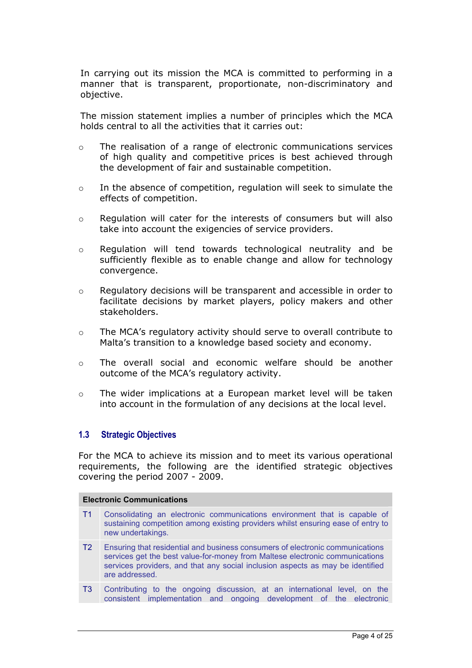<span id="page-4-1"></span><span id="page-4-0"></span>In carrying out its mission the MCA is committed to performing in a manner that is transparent, proportionate, non-discriminatory and objective.

The mission statement implies a number of principles which the MCA holds central to all the activities that it carries out:

- o The realisation of a range of electronic communications services of high quality and competitive prices is best achieved through the development of fair and sustainable competition.
- o In the absence of competition, regulation will seek to simulate the effects of competition.
- $\circ$  Regulation will cater for the interests of consumers but will also take into account the exigencies of service providers.
- o Regulation will tend towards technological neutrality and be sufficiently flexible as to enable change and allow for technology convergence.
- o Regulatory decisions will be transparent and accessible in order to facilitate decisions by market players, policy makers and other stakeholders.
- $\circ$  The MCA's regulatory activity should serve to overall contribute to Malta's transition to a knowledge based society and economy.
- o The overall social and economic welfare should be another outcome of the MCA's regulatory activity.
- o The wider implications at a European market level will be taken into account in the formulation of any decisions at the local level.

#### **1.3 Strategic Objectives**

For the MCA to achieve its mission and to meet its various operational requirements, the following are the identified strategic objectives covering the period 2007 - 2009.

| <b>Electronic Communications</b> |                                                                                                                                                                                                                                                                   |  |
|----------------------------------|-------------------------------------------------------------------------------------------------------------------------------------------------------------------------------------------------------------------------------------------------------------------|--|
| T <sub>1</sub>                   | Consolidating an electronic communications environment that is capable of<br>sustaining competition among existing providers whilst ensuring ease of entry to<br>new undertakings.                                                                                |  |
| T2                               | Ensuring that residential and business consumers of electronic communications<br>services get the best value-for-money from Maltese electronic communications<br>services providers, and that any social inclusion aspects as may be identified<br>are addressed. |  |
| T <sub>3</sub>                   | Contributing to the ongoing discussion, at an international level, on the<br>consistent implementation and ongoing development of the electronic                                                                                                                  |  |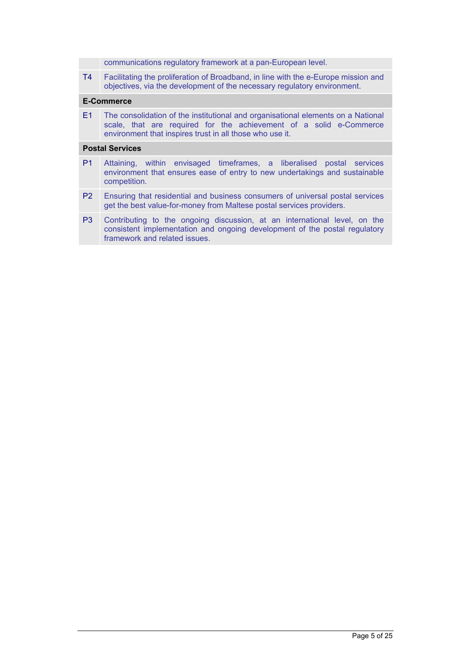communications regulatory framework at a pan-European level.

T4 Facilitating the proliferation of Broadband, in line with the e-Europe mission and objectives, via the development of the necessary regulatory environment.

#### **E-Commerce**

E1 The consolidation of the institutional and organisational elements on a National scale, that are required for the achievement of a solid e-Commerce environment that inspires trust in all those who use it.

#### **Postal Services**

- P1 Attaining, within envisaged timeframes, a liberalised postal services environment that ensures ease of entry to new undertakings and sustainable competition.
- P2 Ensuring that residential and business consumers of universal postal services get the best value-for-money from Maltese postal services providers.
- P3 Contributing to the ongoing discussion, at an international level, on the consistent implementation and ongoing development of the postal regulatory framework and related issues.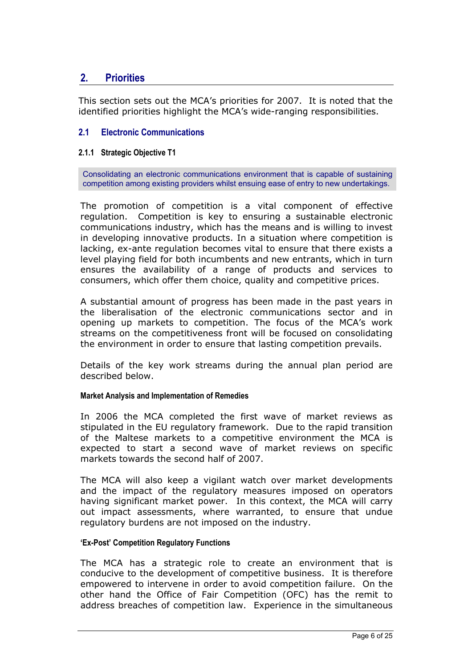# <span id="page-6-0"></span>**2. Priorities**

This section sets out the MCA's priorities for 2007. It is noted that the identified priorities highlight the MCA's wide-ranging responsibilities.

## **2.1 Electronic Communications**

### **2.1.1 Strategic Objective T1**

Consolidating an electronic communications environment that is capable of sustaining competition among existing providers whilst ensuing ease of entry to new undertakings.

The promotion of competition is a vital component of effective regulation. Competition is key to ensuring a sustainable electronic communications industry, which has the means and is willing to invest in developing innovative products. In a situation where competition is lacking, ex-ante regulation becomes vital to ensure that there exists a level playing field for both incumbents and new entrants, which in turn ensures the availability of a range of products and services to consumers, which offer them choice, quality and competitive prices.

A substantial amount of progress has been made in the past years in the liberalisation of the electronic communications sector and in opening up markets to competition. The focus of the MCA's work streams on the competitiveness front will be focused on consolidating the environment in order to ensure that lasting competition prevails.

Details of the key work streams during the annual plan period are described below.

#### **Market Analysis and Implementation of Remedies**

In 2006 the MCA completed the first wave of market reviews as stipulated in the EU regulatory framework. Due to the rapid transition of the Maltese markets to a competitive environment the MCA is expected to start a second wave of market reviews on specific markets towards the second half of 2007.

The MCA will also keep a vigilant watch over market developments and the impact of the regulatory measures imposed on operators having significant market power. In this context, the MCA will carry out impact assessments, where warranted, to ensure that undue regulatory burdens are not imposed on the industry.

#### **'Ex-Post' Competition Regulatory Functions**

The MCA has a strategic role to create an environment that is conducive to the development of competitive business. It is therefore empowered to intervene in order to avoid competition failure. On the other hand the Office of Fair Competition (OFC) has the remit to address breaches of competition law. Experience in the simultaneous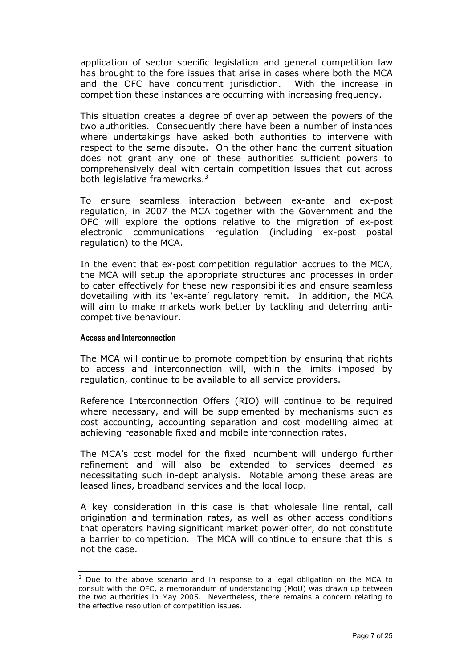application of sector specific legislation and general competition law has brought to the fore issues that arise in cases where both the MCA and the OFC have concurrent jurisdiction. With the increase in competition these instances are occurring with increasing frequency.

This situation creates a degree of overlap between the powers of the two authorities. Consequently there have been a number of instances where undertakings have asked both authorities to intervene with respect to the same dispute. On the other hand the current situation does not grant any one of these authorities sufficient powers to comprehensively deal with certain competition issues that cut across both legislative frameworks. $3$ 

To ensure seamless interaction between ex-ante and ex-post regulation, in 2007 the MCA together with the Government and the OFC will explore the options relative to the migration of ex-post electronic communications regulation (including ex-post postal regulation) to the MCA.

In the event that ex-post competition regulation accrues to the MCA, the MCA will setup the appropriate structures and processes in order to cater effectively for these new responsibilities and ensure seamless dovetailing with its 'ex-ante' regulatory remit. In addition, the MCA will aim to make markets work better by tackling and deterring anticompetitive behaviour.

#### **Access and Interconnection**

l

The MCA will continue to promote competition by ensuring that rights to access and interconnection will, within the limits imposed by regulation, continue to be available to all service providers.

Reference Interconnection Offers (RIO) will continue to be required where necessary, and will be supplemented by mechanisms such as cost accounting, accounting separation and cost modelling aimed at achieving reasonable fixed and mobile interconnection rates.

The MCA's cost model for the fixed incumbent will undergo further refinement and will also be extended to services deemed as necessitating such in-dept analysis. Notable among these areas are leased lines, broadband services and the local loop.

A key consideration in this case is that wholesale line rental, call origination and termination rates, as well as other access conditions that operators having significant market power offer, do not constitute a barrier to competition. The MCA will continue to ensure that this is not the case.

<span id="page-7-0"></span> $3$  Due to the above scenario and in response to a legal obligation on the MCA to consult with the OFC, a memorandum of understanding (MoU) was drawn up between the two authorities in May 2005. Nevertheless, there remains a concern relating to the effective resolution of competition issues.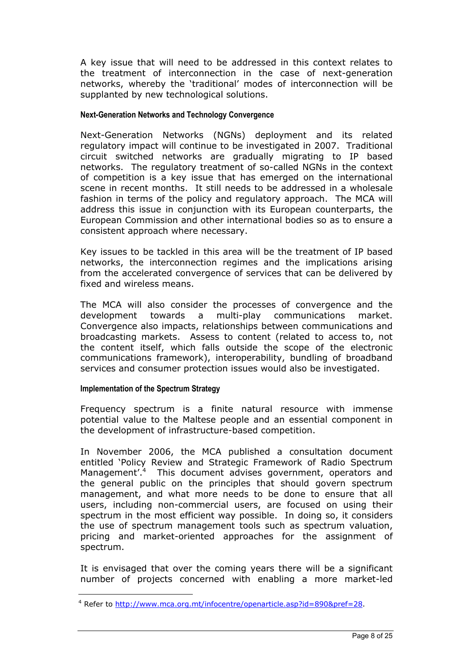A key issue that will need to be addressed in this context relates to the treatment of interconnection in the case of next-generation networks, whereby the 'traditional' modes of interconnection will be supplanted by new technological solutions.

#### **Next-Generation Networks and Technology Convergence**

Next-Generation Networks (NGNs) deployment and its related regulatory impact will continue to be investigated in 2007. Traditional circuit switched networks are gradually migrating to IP based networks. The regulatory treatment of so-called NGNs in the context of competition is a key issue that has emerged on the international scene in recent months. It still needs to be addressed in a wholesale fashion in terms of the policy and regulatory approach. The MCA will address this issue in conjunction with its European counterparts, the European Commission and other international bodies so as to ensure a consistent approach where necessary.

Key issues to be tackled in this area will be the treatment of IP based networks, the interconnection regimes and the implications arising from the accelerated convergence of services that can be delivered by fixed and wireless means.

The MCA will also consider the processes of convergence and the development towards a multi-play communications market. Convergence also impacts, relationships between communications and broadcasting markets. Assess to content (related to access to, not the content itself, which falls outside the scope of the electronic communications framework), interoperability, bundling of broadband services and consumer protection issues would also be investigated.

#### **Implementation of the Spectrum Strategy**

l

Frequency spectrum is a finite natural resource with immense potential value to the Maltese people and an essential component in the development of infrastructure-based competition.

In November 2006, the MCA published a consultation document entitled 'Policy Review and Strategic Framework of Radio Spectrum Management'.<sup>[4](#page-8-0)</sup> This document advises government, operators and the general public on the principles that should govern spectrum management, and what more needs to be done to ensure that all users, including non-commercial users, are focused on using their spectrum in the most efficient way possible. In doing so, it considers the use of spectrum management tools such as spectrum valuation, pricing and market-oriented approaches for the assignment of spectrum.

It is envisaged that over the coming years there will be a significant number of projects concerned with enabling a more market-led

<span id="page-8-0"></span><sup>&</sup>lt;sup>4</sup> Refer to<http://www.mca.org.mt/infocentre/openarticle.asp?id=890&pref=28>.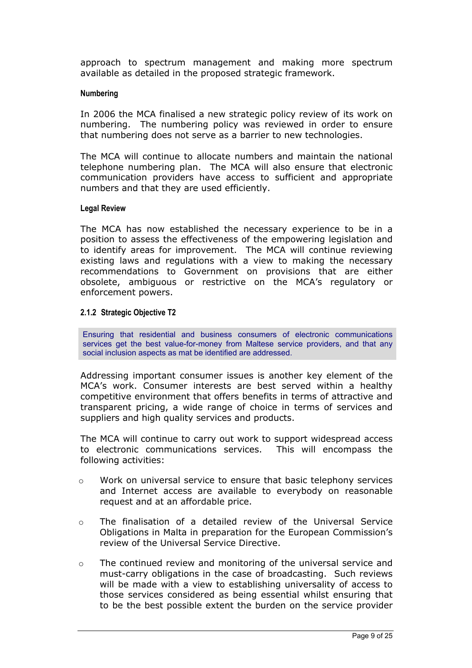approach to spectrum management and making more spectrum available as detailed in the proposed strategic framework.

#### **Numbering**

In 2006 the MCA finalised a new strategic policy review of its work on numbering. The numbering policy was reviewed in order to ensure that numbering does not serve as a barrier to new technologies.

The MCA will continue to allocate numbers and maintain the national telephone numbering plan. The MCA will also ensure that electronic communication providers have access to sufficient and appropriate numbers and that they are used efficiently.

#### **Legal Review**

The MCA has now established the necessary experience to be in a position to assess the effectiveness of the empowering legislation and to identify areas for improvement. The MCA will continue reviewing existing laws and regulations with a view to making the necessary recommendations to Government on provisions that are either obsolete, ambiguous or restrictive on the MCA's regulatory or enforcement powers.

#### **2.1.2 Strategic Objective T2**

Ensuring that residential and business consumers of electronic communications services get the best value-for-money from Maltese service providers, and that any social inclusion aspects as mat be identified are addressed.

Addressing important consumer issues is another key element of the MCA's work. Consumer interests are best served within a healthy competitive environment that offers benefits in terms of attractive and transparent pricing, a wide range of choice in terms of services and suppliers and high quality services and products.

The MCA will continue to carry out work to support widespread access to electronic communications services. This will encompass the following activities:

- $\circ$  Work on universal service to ensure that basic telephony services and Internet access are available to everybody on reasonable request and at an affordable price.
- $\circ$  The finalisation of a detailed review of the Universal Service Obligations in Malta in preparation for the European Commission's review of the Universal Service Directive.
- $\circ$  The continued review and monitoring of the universal service and must-carry obligations in the case of broadcasting. Such reviews will be made with a view to establishing universality of access to those services considered as being essential whilst ensuring that to be the best possible extent the burden on the service provider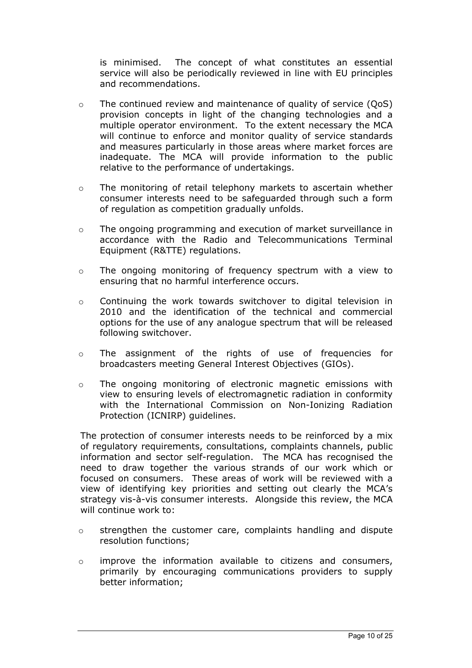is minimised. The concept of what constitutes an essential service will also be periodically reviewed in line with EU principles and recommendations.

- $\circ$  The continued review and maintenance of quality of service (OoS) provision concepts in light of the changing technologies and a multiple operator environment. To the extent necessary the MCA will continue to enforce and monitor quality of service standards and measures particularly in those areas where market forces are inadequate. The MCA will provide information to the public relative to the performance of undertakings.
- $\circ$  The monitoring of retail telephony markets to ascertain whether consumer interests need to be safeguarded through such a form of regulation as competition gradually unfolds.
- o The ongoing programming and execution of market surveillance in accordance with the Radio and Telecommunications Terminal Equipment (R&TTE) regulations.
- o The ongoing monitoring of frequency spectrum with a view to ensuring that no harmful interference occurs.
- o Continuing the work towards switchover to digital television in 2010 and the identification of the technical and commercial options for the use of any analogue spectrum that will be released following switchover.
- o The assignment of the rights of use of frequencies for broadcasters meeting General Interest Objectives (GIOs).
- o The ongoing monitoring of electronic magnetic emissions with view to ensuring levels of electromagnetic radiation in conformity with the International Commission on Non-Ionizing Radiation Protection (ICNIRP) guidelines.

The protection of consumer interests needs to be reinforced by a mix of regulatory requirements, consultations, complaints channels, public information and sector self-regulation. The MCA has recognised the need to draw together the various strands of our work which or focused on consumers. These areas of work will be reviewed with a view of identifying key priorities and setting out clearly the MCA's strategy vis-à-vis consumer interests. Alongside this review, the MCA will continue work to:

- o strengthen the customer care, complaints handling and dispute resolution functions;
- $\circ$  improve the information available to citizens and consumers, primarily by encouraging communications providers to supply better information;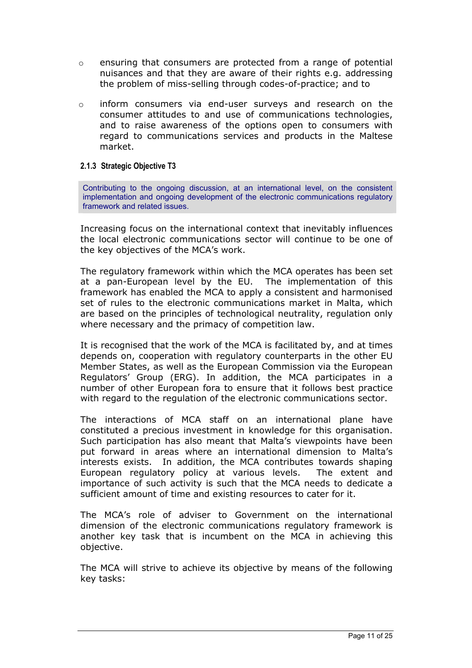- o ensuring that consumers are protected from a range of potential nuisances and that they are aware of their rights e.g. addressing the problem of miss-selling through codes-of-practice; and to
- $\circ$  inform consumers via end-user surveys and research on the consumer attitudes to and use of communications technologies, and to raise awareness of the options open to consumers with regard to communications services and products in the Maltese market.

## **2.1.3 Strategic Objective T3**

Contributing to the ongoing discussion, at an international level, on the consistent implementation and ongoing development of the electronic communications regulatory framework and related issues.

Increasing focus on the international context that inevitably influences the local electronic communications sector will continue to be one of the key objectives of the MCA's work.

The regulatory framework within which the MCA operates has been set at a pan-European level by the EU. The implementation of this framework has enabled the MCA to apply a consistent and harmonised set of rules to the electronic communications market in Malta, which are based on the principles of technological neutrality, regulation only where necessary and the primacy of competition law.

It is recognised that the work of the MCA is facilitated by, and at times depends on, cooperation with regulatory counterparts in the other EU Member States, as well as the European Commission via the European Regulators' Group (ERG). In addition, the MCA participates in a number of other European fora to ensure that it follows best practice with regard to the regulation of the electronic communications sector.

The interactions of MCA staff on an international plane have constituted a precious investment in knowledge for this organisation. Such participation has also meant that Malta's viewpoints have been put forward in areas where an international dimension to Malta's interests exists. In addition, the MCA contributes towards shaping European regulatory policy at various levels. The extent and importance of such activity is such that the MCA needs to dedicate a sufficient amount of time and existing resources to cater for it.

The MCA's role of adviser to Government on the international dimension of the electronic communications regulatory framework is another key task that is incumbent on the MCA in achieving this objective.

The MCA will strive to achieve its objective by means of the following key tasks: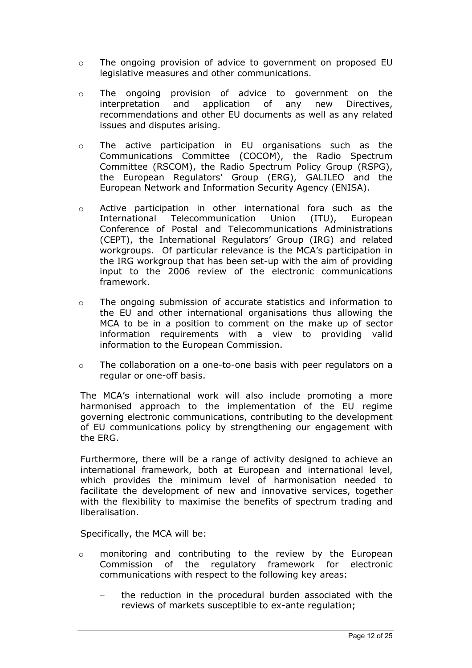- o The ongoing provision of advice to government on proposed EU legislative measures and other communications.
- o The ongoing provision of advice to government on the interpretation and application of any new Directives, recommendations and other EU documents as well as any related issues and disputes arising.
- o The active participation in EU organisations such as the Communications Committee (COCOM), the Radio Spectrum Committee (RSCOM), the Radio Spectrum Policy Group (RSPG), the European Regulators' Group (ERG), GALILEO and the European Network and Information Security Agency (ENISA).
- $\circ$  Active participation in other international fora such as the International Telecommunication Union (ITU), European Conference of Postal and Telecommunications Administrations (CEPT), the International Regulators' Group (IRG) and related workgroups. Of particular relevance is the MCA's participation in the IRG workgroup that has been set-up with the aim of providing input to the 2006 review of the electronic communications framework.
- $\circ$  The ongoing submission of accurate statistics and information to the EU and other international organisations thus allowing the MCA to be in a position to comment on the make up of sector information requirements with a view to providing valid information to the European Commission.
- $\circ$  The collaboration on a one-to-one basis with peer regulators on a regular or one-off basis.

The MCA's international work will also include promoting a more harmonised approach to the implementation of the EU regime governing electronic communications, contributing to the development of EU communications policy by strengthening our engagement with the ERG.

Furthermore, there will be a range of activity designed to achieve an international framework, both at European and international level, which provides the minimum level of harmonisation needed to facilitate the development of new and innovative services, together with the flexibility to maximise the benefits of spectrum trading and liberalisation.

Specifically, the MCA will be:

- $\circ$  monitoring and contributing to the review by the European Commission of the regulatory framework for electronic communications with respect to the following key areas:
	- the reduction in the procedural burden associated with the reviews of markets susceptible to ex-ante regulation;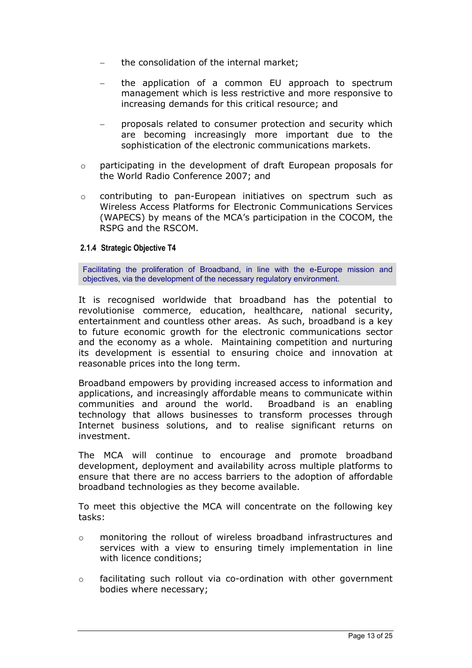- the consolidation of the internal market;
- − the application of a common EU approach to spectrum management which is less restrictive and more responsive to increasing demands for this critical resource; and
- − proposals related to consumer protection and security which are becoming increasingly more important due to the sophistication of the electronic communications markets.
- o participating in the development of draft European proposals for the World Radio Conference 2007; and
- o contributing to pan-European initiatives on spectrum such as Wireless Access Platforms for Electronic Communications Services (WAPECS) by means of the MCA's participation in the COCOM, the RSPG and the RSCOM.

## **2.1.4 Strategic Objective T4**

Facilitating the proliferation of Broadband, in line with the e-Europe mission and objectives, via the development of the necessary regulatory environment.

It is recognised worldwide that broadband has the potential to revolutionise commerce, education, healthcare, national security, entertainment and countless other areas. As such, broadband is a key to future economic growth for the electronic communications sector and the economy as a whole. Maintaining competition and nurturing its development is essential to ensuring choice and innovation at reasonable prices into the long term.

Broadband empowers by providing increased access to information and applications, and increasingly affordable means to communicate within communities and around the world. Broadband is an enabling technology that allows businesses to transform processes through Internet business solutions, and to realise significant returns on investment.

The MCA will continue to encourage and promote broadband development, deployment and availability across multiple platforms to ensure that there are no access barriers to the adoption of affordable broadband technologies as they become available.

To meet this objective the MCA will concentrate on the following key tasks:

- o monitoring the rollout of wireless broadband infrastructures and services with a view to ensuring timely implementation in line with licence conditions;
- $\circ$  facilitating such rollout via co-ordination with other government bodies where necessary;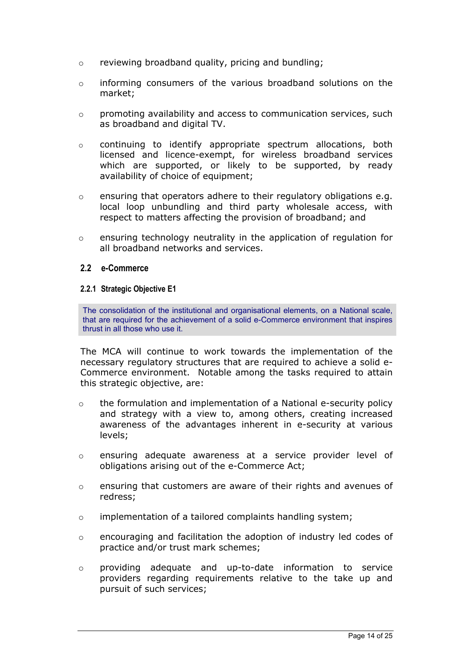- <span id="page-14-0"></span>o reviewing broadband quality, pricing and bundling;
- $\circ$  informing consumers of the various broadband solutions on the market;
- o promoting availability and access to communication services, such as broadband and digital TV.
- $\circ$  continuing to identify appropriate spectrum allocations, both licensed and licence-exempt, for wireless broadband services which are supported, or likely to be supported, by ready availability of choice of equipment;
- o ensuring that operators adhere to their regulatory obligations e.g. local loop unbundling and third party wholesale access, with respect to matters affecting the provision of broadband; and
- $\circ$  ensuring technology neutrality in the application of regulation for all broadband networks and services.

#### **2.2 e-Commerce**

#### **2.2.1 Strategic Objective E1**

The consolidation of the institutional and organisational elements, on a National scale, that are required for the achievement of a solid e-Commerce environment that inspires thrust in all those who use it.

The MCA will continue to work towards the implementation of the necessary regulatory structures that are required to achieve a solid e-Commerce environment. Notable among the tasks required to attain this strategic objective, are:

- $\circ$  the formulation and implementation of a National e-security policy and strategy with a view to, among others, creating increased awareness of the advantages inherent in e-security at various levels;
- o ensuring adequate awareness at a service provider level of obligations arising out of the e-Commerce Act;
- $\circ$  ensuring that customers are aware of their rights and avenues of redress;
- o implementation of a tailored complaints handling system;
- $\circ$  encouraging and facilitation the adoption of industry led codes of practice and/or trust mark schemes;
- o providing adequate and up-to-date information to service providers regarding requirements relative to the take up and pursuit of such services;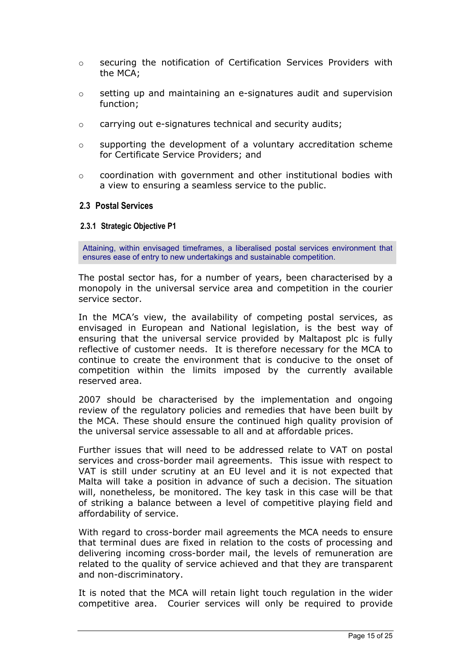- <span id="page-15-0"></span>o securing the notification of Certification Services Providers with the MCA;
- $\circ$  setting up and maintaining an e-signatures audit and supervision function;
- o carrying out e-signatures technical and security audits;
- $\circ$  supporting the development of a voluntary accreditation scheme for Certificate Service Providers; and
- $\circ$  coordination with government and other institutional bodies with a view to ensuring a seamless service to the public.

## **2.3 Postal Services**

#### **2.3.1 Strategic Objective P1**

Attaining, within envisaged timeframes, a liberalised postal services environment that ensures ease of entry to new undertakings and sustainable competition.

The postal sector has, for a number of years, been characterised by a monopoly in the universal service area and competition in the courier service sector.

In the MCA's view, the availability of competing postal services, as envisaged in European and National legislation, is the best way of ensuring that the universal service provided by Maltapost plc is fully reflective of customer needs. It is therefore necessary for the MCA to continue to create the environment that is conducive to the onset of competition within the limits imposed by the currently available reserved area.

2007 should be characterised by the implementation and ongoing review of the regulatory policies and remedies that have been built by the MCA. These should ensure the continued high quality provision of the universal service assessable to all and at affordable prices.

Further issues that will need to be addressed relate to VAT on postal services and cross-border mail agreements. This issue with respect to VAT is still under scrutiny at an EU level and it is not expected that Malta will take a position in advance of such a decision. The situation will, nonetheless, be monitored. The key task in this case will be that of striking a balance between a level of competitive playing field and affordability of service.

With regard to cross-border mail agreements the MCA needs to ensure that terminal dues are fixed in relation to the costs of processing and delivering incoming cross-border mail, the levels of remuneration are related to the quality of service achieved and that they are transparent and non-discriminatory.

It is noted that the MCA will retain light touch regulation in the wider competitive area. Courier services will only be required to provide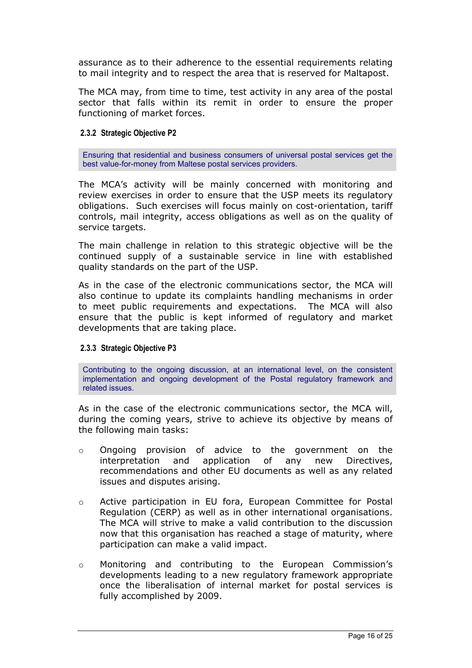assurance as to their adherence to the essential requirements relating to mail integrity and to respect the area that is reserved for Maltapost.

The MCA may, from time to time, test activity in any area of the postal sector that falls within its remit in order to ensure the proper functioning of market forces.

## **2.3.2 Strategic Objective P2**

Ensuring that residential and business consumers of universal postal services get the best value-for-money from Maltese postal services providers.

The MCA's activity will be mainly concerned with monitoring and review exercises in order to ensure that the USP meets its regulatory obligations. Such exercises will focus mainly on cost-orientation, tariff controls, mail integrity, access obligations as well as on the quality of service targets.

The main challenge in relation to this strategic objective will be the continued supply of a sustainable service in line with established quality standards on the part of the USP.

As in the case of the electronic communications sector, the MCA will also continue to update its complaints handling mechanisms in order to meet public requirements and expectations. The MCA will also ensure that the public is kept informed of regulatory and market developments that are taking place.

#### **2.3.3 Strategic Objective P3**

Contributing to the ongoing discussion, at an international level, on the consistent implementation and ongoing development of the Postal regulatory framework and related issues.

As in the case of the electronic communications sector, the MCA will, during the coming years, strive to achieve its objective by means of the following main tasks:

- o Ongoing provision of advice to the government on the interpretation and application of any new Directives, recommendations and other EU documents as well as any related issues and disputes arising.
- o Active participation in EU fora, European Committee for Postal Regulation (CERP) as well as in other international organisations. The MCA will strive to make a valid contribution to the discussion now that this organisation has reached a stage of maturity, where participation can make a valid impact.
- o Monitoring and contributing to the European Commission's developments leading to a new regulatory framework appropriate once the liberalisation of internal market for postal services is fully accomplished by 2009.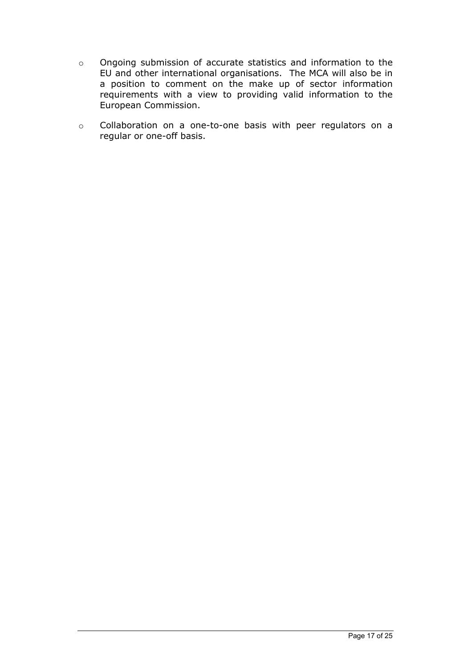- o Ongoing submission of accurate statistics and information to the EU and other international organisations. The MCA will also be in a position to comment on the make up of sector information requirements with a view to providing valid information to the European Commission.
- o Collaboration on a one-to-one basis with peer regulators on a regular or one-off basis.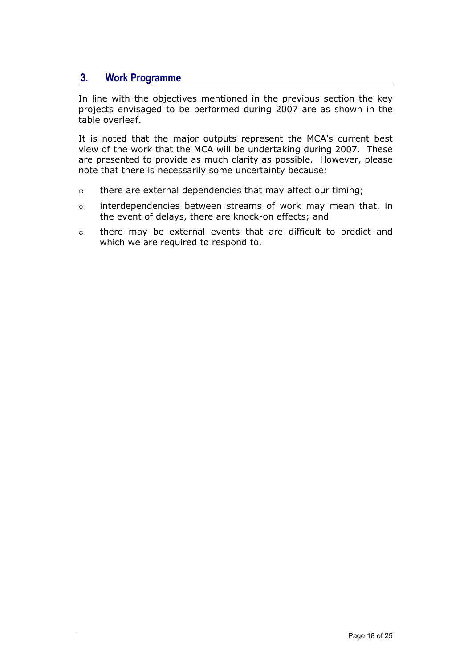# <span id="page-18-0"></span>**3. Work Programme**

In line with the objectives mentioned in the previous section the key projects envisaged to be performed during 2007 are as shown in the table overleaf.

It is noted that the major outputs represent the MCA's current best view of the work that the MCA will be undertaking during 2007. These are presented to provide as much clarity as possible. However, please note that there is necessarily some uncertainty because:

- o there are external dependencies that may affect our timing;
- o interdependencies between streams of work may mean that, in the event of delays, there are knock-on effects; and
- o there may be external events that are difficult to predict and which we are required to respond to.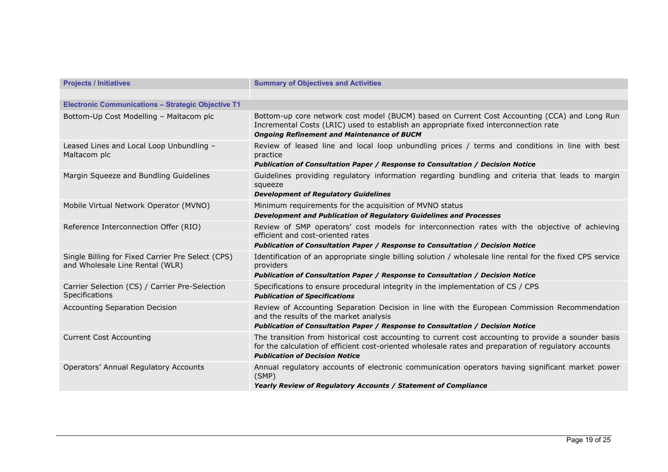| <b>Projects / Initiatives</b>                                                        | <b>Summary of Objectives and Activities</b>                                                                                                                                                                                                            |  |  |  |
|--------------------------------------------------------------------------------------|--------------------------------------------------------------------------------------------------------------------------------------------------------------------------------------------------------------------------------------------------------|--|--|--|
| <b>Electronic Communications - Strategic Objective T1</b>                            |                                                                                                                                                                                                                                                        |  |  |  |
| Bottom-Up Cost Modelling - Maltacom plc                                              | Bottom-up core network cost model (BUCM) based on Current Cost Accounting (CCA) and Long Run<br>Incremental Costs (LRIC) used to establish an appropriate fixed interconnection rate<br><b>Ongoing Refinement and Maintenance of BUCM</b>              |  |  |  |
| Leased Lines and Local Loop Unbundling -<br>Maltacom plc                             | Review of leased line and local loop unbundling prices / terms and conditions in line with best<br>practice<br>Publication of Consultation Paper / Response to Consultation / Decision Notice                                                          |  |  |  |
| Margin Squeeze and Bundling Guidelines                                               | Guidelines providing regulatory information regarding bundling and criteria that leads to margin<br>squeeze<br><b>Development of Regulatory Guidelines</b>                                                                                             |  |  |  |
| Mobile Virtual Network Operator (MVNO)                                               | Minimum requirements for the acquisition of MVNO status<br>Development and Publication of Regulatory Guidelines and Processes                                                                                                                          |  |  |  |
| Reference Interconnection Offer (RIO)                                                | Review of SMP operators' cost models for interconnection rates with the objective of achieving<br>efficient and cost-oriented rates<br>Publication of Consultation Paper / Response to Consultation / Decision Notice                                  |  |  |  |
| Single Billing for Fixed Carrier Pre Select (CPS)<br>and Wholesale Line Rental (WLR) | Identification of an appropriate single billing solution / wholesale line rental for the fixed CPS service<br>providers<br>Publication of Consultation Paper / Response to Consultation / Decision Notice                                              |  |  |  |
| Carrier Selection (CS) / Carrier Pre-Selection<br><b>Specifications</b>              | Specifications to ensure procedural integrity in the implementation of CS / CPS<br><b>Publication of Specifications</b>                                                                                                                                |  |  |  |
| Accounting Separation Decision                                                       | Review of Accounting Separation Decision in line with the European Commission Recommendation<br>and the results of the market analysis<br>Publication of Consultation Paper / Response to Consultation / Decision Notice                               |  |  |  |
| <b>Current Cost Accounting</b>                                                       | The transition from historical cost accounting to current cost accounting to provide a sounder basis<br>for the calculation of efficient cost-oriented wholesale rates and preparation of regulatory accounts<br><b>Publication of Decision Notice</b> |  |  |  |
| <b>Operators' Annual Regulatory Accounts</b>                                         | Annual regulatory accounts of electronic communication operators having significant market power<br>(SMP)<br>Yearly Review of Regulatory Accounts / Statement of Compliance                                                                            |  |  |  |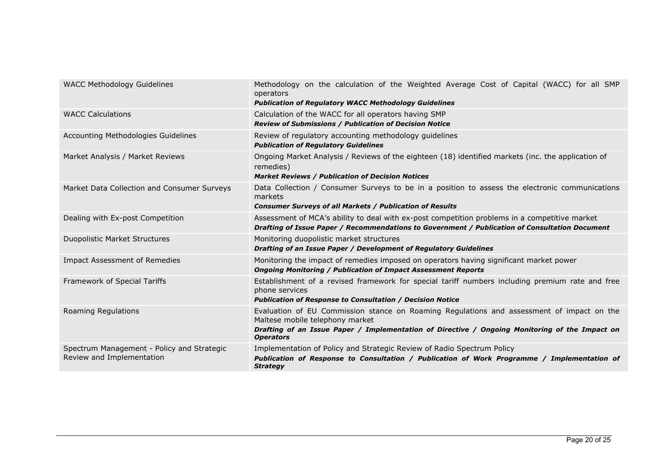| <b>WACC Methodology Guidelines</b>                                      | Methodology on the calculation of the Weighted Average Cost of Capital (WACC) for all SMP<br>operators<br><b>Publication of Regulatory WACC Methodology Guidelines</b>                                                                             |
|-------------------------------------------------------------------------|----------------------------------------------------------------------------------------------------------------------------------------------------------------------------------------------------------------------------------------------------|
| <b>WACC Calculations</b>                                                | Calculation of the WACC for all operators having SMP<br><b>Review of Submissions / Publication of Decision Notice</b>                                                                                                                              |
| Accounting Methodologies Guidelines                                     | Review of regulatory accounting methodology guidelines<br><b>Publication of Regulatory Guidelines</b>                                                                                                                                              |
| Market Analysis / Market Reviews                                        | Ongoing Market Analysis / Reviews of the eighteen (18) identified markets (inc. the application of<br>remedies)<br><b>Market Reviews / Publication of Decision Notices</b>                                                                         |
| Market Data Collection and Consumer Surveys                             | Data Collection / Consumer Surveys to be in a position to assess the electronic communications<br>markets<br><b>Consumer Surveys of all Markets / Publication of Results</b>                                                                       |
| Dealing with Ex-post Competition                                        | Assessment of MCA's ability to deal with ex-post competition problems in a competitive market<br>Drafting of Issue Paper / Recommendations to Government / Publication of Consultation Document                                                    |
| Duopolistic Market Structures                                           | Monitoring duopolistic market structures<br>Drafting of an Issue Paper / Development of Regulatory Guidelines                                                                                                                                      |
| Impact Assessment of Remedies                                           | Monitoring the impact of remedies imposed on operators having significant market power<br><b>Ongoing Monitoring / Publication of Impact Assessment Reports</b>                                                                                     |
| Framework of Special Tariffs                                            | Establishment of a revised framework for special tariff numbers including premium rate and free<br>phone services<br><b>Publication of Response to Consultation / Decision Notice</b>                                                              |
| Roaming Regulations                                                     | Evaluation of EU Commission stance on Roaming Regulations and assessment of impact on the<br>Maltese mobile telephony market<br>Drafting of an Issue Paper / Implementation of Directive / Ongoing Monitoring of the Impact on<br><b>Operators</b> |
| Spectrum Management - Policy and Strategic<br>Review and Implementation | Implementation of Policy and Strategic Review of Radio Spectrum Policy<br>Publication of Response to Consultation / Publication of Work Programme / Implementation of<br><b>Strategy</b>                                                           |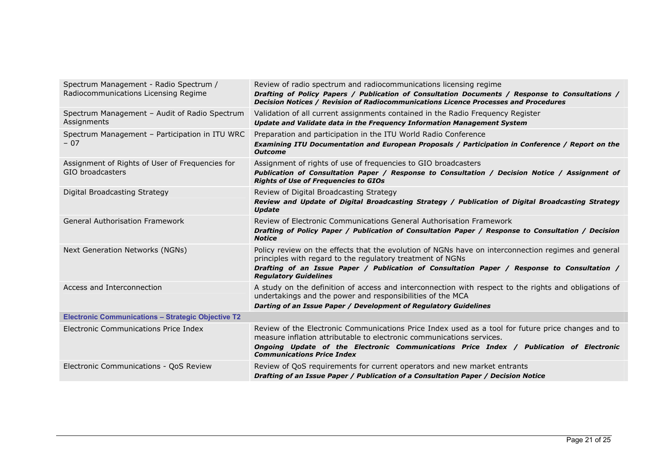| Spectrum Management - Radio Spectrum /<br>Radiocommunications Licensing Regime | Review of radio spectrum and radiocommunications licensing regime<br>Drafting of Policy Papers / Publication of Consultation Documents / Response to Consultations /<br>Decision Notices / Revision of Radiocommunications Licence Processes and Procedures                                                 |
|--------------------------------------------------------------------------------|-------------------------------------------------------------------------------------------------------------------------------------------------------------------------------------------------------------------------------------------------------------------------------------------------------------|
| Spectrum Management - Audit of Radio Spectrum<br>Assignments                   | Validation of all current assignments contained in the Radio Frequency Register<br>Update and Validate data in the Frequency Information Management System                                                                                                                                                  |
| Spectrum Management - Participation in ITU WRC<br>$-07$                        | Preparation and participation in the ITU World Radio Conference<br>Examining ITU Documentation and European Proposals / Participation in Conference / Report on the<br><b>Outcome</b>                                                                                                                       |
| Assignment of Rights of User of Frequencies for<br>GIO broadcasters            | Assignment of rights of use of frequencies to GIO broadcasters<br>Publication of Consultation Paper / Response to Consultation / Decision Notice / Assignment of<br><b>Rights of Use of Frequencies to GIOs</b>                                                                                             |
| Digital Broadcasting Strategy                                                  | Review of Digital Broadcasting Strategy<br>Review and Update of Digital Broadcasting Strategy / Publication of Digital Broadcasting Strategy<br><b>Update</b>                                                                                                                                               |
| General Authorisation Framework                                                | Review of Electronic Communications General Authorisation Framework<br>Drafting of Policy Paper / Publication of Consultation Paper / Response to Consultation / Decision<br><b>Notice</b>                                                                                                                  |
| Next Generation Networks (NGNs)                                                | Policy review on the effects that the evolution of NGNs have on interconnection regimes and general<br>principles with regard to the regulatory treatment of NGNs<br>Drafting of an Issue Paper / Publication of Consultation Paper / Response to Consultation /<br><b>Regulatory Guidelines</b>            |
| Access and Interconnection                                                     | A study on the definition of access and interconnection with respect to the rights and obligations of<br>undertakings and the power and responsibilities of the MCA<br>Darting of an Issue Paper / Development of Regulatory Guidelines                                                                     |
| <b>Electronic Communications - Strategic Objective T2</b>                      |                                                                                                                                                                                                                                                                                                             |
| Electronic Communications Price Index                                          | Review of the Electronic Communications Price Index used as a tool for future price changes and to<br>measure inflation attributable to electronic communications services.<br>Ongoing Update of the Electronic Communications Price Index / Publication of Electronic<br><b>Communications Price Index</b> |
| Electronic Communications - QoS Review                                         | Review of QoS requirements for current operators and new market entrants<br>Drafting of an Issue Paper / Publication of a Consultation Paper / Decision Notice                                                                                                                                              |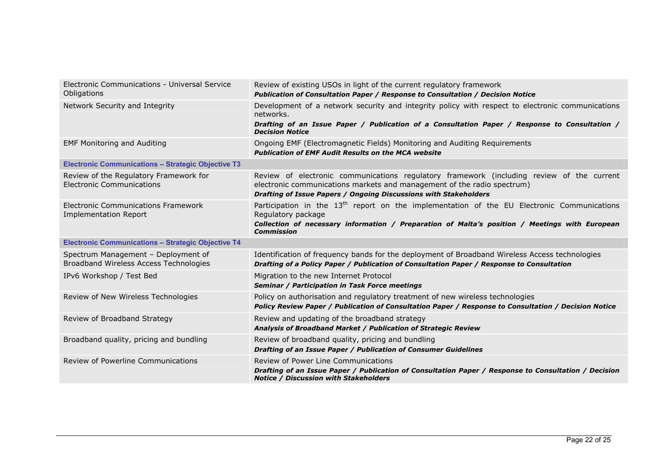| Electronic Communications - Universal Service<br><b>Obligations</b>           | Review of existing USOs in light of the current regulatory framework<br>Publication of Consultation Paper / Response to Consultation / Decision Notice                                                                                              |
|-------------------------------------------------------------------------------|-----------------------------------------------------------------------------------------------------------------------------------------------------------------------------------------------------------------------------------------------------|
| Network Security and Integrity                                                | Development of a network security and integrity policy with respect to electronic communications<br>networks.<br>Drafting of an Issue Paper / Publication of a Consultation Paper / Response to Consultation /<br><b>Decision Notice</b>            |
| <b>EMF Monitoring and Auditing</b>                                            | Ongoing EMF (Electromagnetic Fields) Monitoring and Auditing Requirements<br><b>Publication of EMF Audit Results on the MCA website</b>                                                                                                             |
| <b>Electronic Communications - Strategic Objective T3</b>                     |                                                                                                                                                                                                                                                     |
| Review of the Regulatory Framework for<br><b>Electronic Communications</b>    | Review of electronic communications regulatory framework (including review of the current<br>electronic communications markets and management of the radio spectrum)<br>Drafting of Issue Papers / Ongoing Discussions with Stakeholders            |
| <b>Electronic Communications Framework</b><br>Implementation Report           | Participation in the 13 <sup>th</sup> report on the implementation of the EU Electronic Communications<br>Regulatory package<br>Collection of necessary information / Preparation of Malta's position / Meetings with European<br><b>Commission</b> |
| <b>Electronic Communications - Strategic Objective T4</b>                     |                                                                                                                                                                                                                                                     |
| Spectrum Management - Deployment of<br>Broadband Wireless Access Technologies | Identification of frequency bands for the deployment of Broadband Wireless Access technologies<br>Drafting of a Policy Paper / Publication of Consultation Paper / Response to Consultation                                                         |
| IPv6 Workshop / Test Bed                                                      | Migration to the new Internet Protocol<br><b>Seminar / Participation in Task Force meetings</b>                                                                                                                                                     |
| Review of New Wireless Technologies                                           | Policy on authorisation and regulatory treatment of new wireless technologies<br>Policy Review Paper / Publication of Consultation Paper / Response to Consultation / Decision Notice                                                               |
| Review of Broadband Strategy                                                  | Review and updating of the broadband strategy<br>Analysis of Broadband Market / Publication of Strategic Review                                                                                                                                     |
| Broadband quality, pricing and bundling                                       | Review of broadband quality, pricing and bundling<br>Drafting of an Issue Paper / Publication of Consumer Guidelines                                                                                                                                |
| Review of Powerline Communications                                            | Review of Power Line Communications<br>Drafting of an Issue Paper / Publication of Consultation Paper / Response to Consultation / Decision<br><b>Notice / Discussion with Stakeholders</b>                                                         |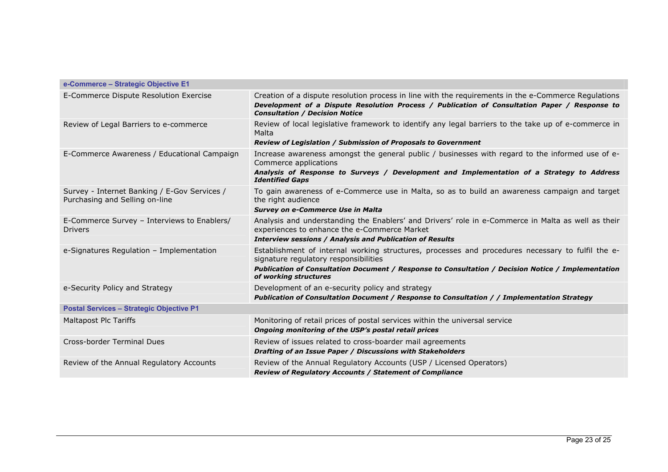| e-Commerce - Strategic Objective E1                                            |                                                                                                                                                                                                                                                                           |  |  |
|--------------------------------------------------------------------------------|---------------------------------------------------------------------------------------------------------------------------------------------------------------------------------------------------------------------------------------------------------------------------|--|--|
| E-Commerce Dispute Resolution Exercise                                         | Creation of a dispute resolution process in line with the requirements in the e-Commerce Regulations<br>Development of a Dispute Resolution Process / Publication of Consultation Paper / Response to<br><b>Consultation / Decision Notice</b>                            |  |  |
| Review of Legal Barriers to e-commerce                                         | Review of local legislative framework to identify any legal barriers to the take up of e-commerce in<br>Malta<br><b>Review of Legislation / Submission of Proposals to Government</b>                                                                                     |  |  |
| E-Commerce Awareness / Educational Campaign                                    | Increase awareness amongst the general public / businesses with regard to the informed use of e-<br>Commerce applications<br>Analysis of Response to Surveys / Development and Implementation of a Strategy to Address<br><b>Identified Gaps</b>                          |  |  |
| Survey - Internet Banking / E-Gov Services /<br>Purchasing and Selling on-line | To gain awareness of e-Commerce use in Malta, so as to build an awareness campaign and target<br>the right audience<br><b>Survey on e-Commerce Use in Malta</b>                                                                                                           |  |  |
| E-Commerce Survey - Interviews to Enablers/<br><b>Drivers</b>                  | Analysis and understanding the Enablers' and Drivers' role in e-Commerce in Malta as well as their<br>experiences to enhance the e-Commerce Market<br><b>Interview sessions / Analysis and Publication of Results</b>                                                     |  |  |
| e-Signatures Regulation - Implementation                                       | Establishment of internal working structures, processes and procedures necessary to fulfil the e-<br>signature regulatory responsibilities<br>Publication of Consultation Document / Response to Consultation / Decision Notice / Implementation<br>of working structures |  |  |
| e-Security Policy and Strategy                                                 | Development of an e-security policy and strategy<br>Publication of Consultation Document / Response to Consultation / / Implementation Strategy                                                                                                                           |  |  |
| <b>Postal Services - Strategic Objective P1</b>                                |                                                                                                                                                                                                                                                                           |  |  |
| <b>Maltapost Plc Tariffs</b>                                                   | Monitoring of retail prices of postal services within the universal service<br>Ongoing monitoring of the USP's postal retail prices                                                                                                                                       |  |  |
| Cross-border Terminal Dues                                                     | Review of issues related to cross-boarder mail agreements<br>Drafting of an Issue Paper / Discussions with Stakeholders                                                                                                                                                   |  |  |
| Review of the Annual Regulatory Accounts                                       | Review of the Annual Regulatory Accounts (USP / Licensed Operators)<br>Review of Regulatory Accounts / Statement of Compliance                                                                                                                                            |  |  |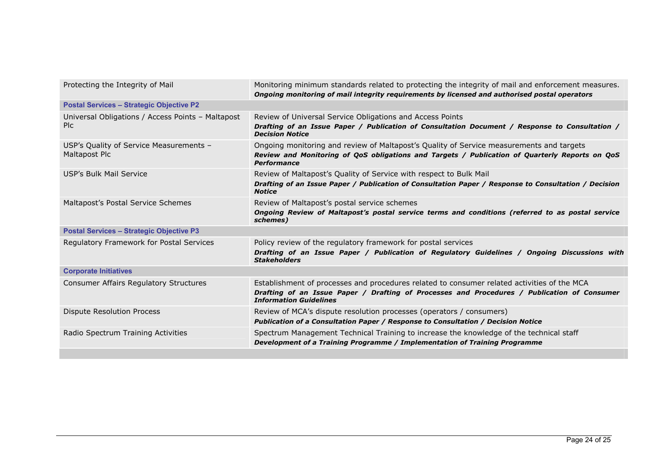| Protecting the Integrity of Mail                          | Monitoring minimum standards related to protecting the integrity of mail and enforcement measures.<br>Ongoing monitoring of mail integrity requirements by licensed and authorised postal operators                         |  |
|-----------------------------------------------------------|-----------------------------------------------------------------------------------------------------------------------------------------------------------------------------------------------------------------------------|--|
| <b>Postal Services - Strategic Objective P2</b>           |                                                                                                                                                                                                                             |  |
| Universal Obligations / Access Points - Maltapost<br>Plc. | Review of Universal Service Obligations and Access Points<br>Drafting of an Issue Paper / Publication of Consultation Document / Response to Consultation /<br><b>Decision Notice</b>                                       |  |
| USP's Quality of Service Measurements -<br>Maltapost Plc  | Ongoing monitoring and review of Maltapost's Quality of Service measurements and targets<br>Review and Monitoring of QoS obligations and Targets / Publication of Quarterly Reports on QoS<br><b>Performance</b>            |  |
| USP's Bulk Mail Service                                   | Review of Maltapost's Quality of Service with respect to Bulk Mail                                                                                                                                                          |  |
|                                                           | Drafting of an Issue Paper / Publication of Consultation Paper / Response to Consultation / Decision<br><b>Notice</b>                                                                                                       |  |
| Maltapost's Postal Service Schemes                        | Review of Maltapost's postal service schemes                                                                                                                                                                                |  |
|                                                           | Ongoing Review of Maltapost's postal service terms and conditions (referred to as postal service<br>schemes)                                                                                                                |  |
| <b>Postal Services - Strategic Objective P3</b>           |                                                                                                                                                                                                                             |  |
| Regulatory Framework for Postal Services                  | Policy review of the regulatory framework for postal services                                                                                                                                                               |  |
|                                                           | Drafting of an Issue Paper / Publication of Regulatory Guidelines / Ongoing Discussions with<br><b>Stakeholders</b>                                                                                                         |  |
| <b>Corporate Initiatives</b>                              |                                                                                                                                                                                                                             |  |
| <b>Consumer Affairs Regulatory Structures</b>             | Establishment of processes and procedures related to consumer related activities of the MCA<br>Drafting of an Issue Paper / Drafting of Processes and Procedures / Publication of Consumer<br><b>Information Guidelines</b> |  |
| <b>Dispute Resolution Process</b>                         | Review of MCA's dispute resolution processes (operators / consumers)<br>Publication of a Consultation Paper / Response to Consultation / Decision Notice                                                                    |  |
| Radio Spectrum Training Activities                        | Spectrum Management Technical Training to increase the knowledge of the technical staff<br>Development of a Training Programme / Implementation of Training Programme                                                       |  |